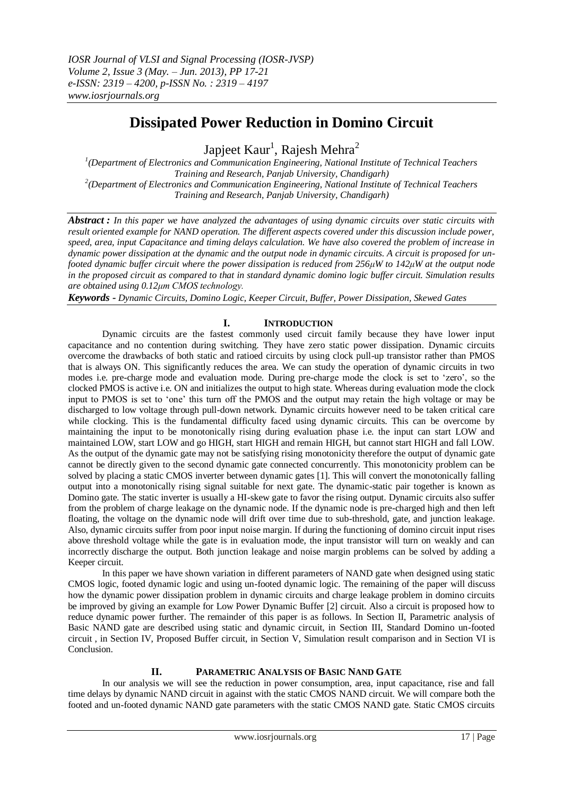# **Dissipated Power Reduction in Domino Circuit**

Japjeet Kaur<sup>1</sup>, Rajesh Mehra<sup>2</sup>

<sup>1</sup>(Department of Electronics and Communication Engineering, National Institute of Technical Teachers *Training and Research, Panjab University, Chandigarh) 2 (Department of Electronics and Communication Engineering, National Institute of Technical Teachers Training and Research, Panjab University, Chandigarh)*

*Abstract : In this paper we have analyzed the advantages of using dynamic circuits over static circuits with result oriented example for NAND operation. The different aspects covered under this discussion include power, speed, area, input Capacitance and timing delays calculation. We have also covered the problem of increase in dynamic power dissipation at the dynamic and the output node in dynamic circuits. A circuit is proposed for unfooted dynamic buffer circuit where the power dissipation is reduced from 256μW to 142μW at the output node in the proposed circuit as compared to that in standard dynamic domino logic buffer circuit. Simulation results are obtained using 0.12μm CMOS technology.*

*Keywords - Dynamic Circuits, Domino Logic, Keeper Circuit, Buffer, Power Dissipation, Skewed Gates*

# **I. INTRODUCTION**

Dynamic circuits are the fastest commonly used circuit family because they have lower input capacitance and no contention during switching. They have zero static power dissipation. Dynamic circuits overcome the drawbacks of both static and ratioed circuits by using clock pull-up transistor rather than PMOS that is always ON. This significantly reduces the area. We can study the operation of dynamic circuits in two modes i.e. pre-charge mode and evaluation mode. During pre-charge mode the clock is set to 'zero', so the clocked PMOS is active i.e. ON and initializes the output to high state. Whereas during evaluation mode the clock input to PMOS is set to 'one' this turn off the PMOS and the output may retain the high voltage or may be discharged to low voltage through pull-down network. Dynamic circuits however need to be taken critical care while clocking. This is the fundamental difficulty faced using dynamic circuits. This can be overcome by maintaining the input to be monotonically rising during evaluation phase i.e. the input can start LOW and maintained LOW, start LOW and go HIGH, start HIGH and remain HIGH, but cannot start HIGH and fall LOW. As the output of the dynamic gate may not be satisfying rising monotonicity therefore the output of dynamic gate cannot be directly given to the second dynamic gate connected concurrently. This monotonicity problem can be solved by placing a static CMOS inverter between dynamic gates [1]. This will convert the monotonically falling output into a monotonically rising signal suitable for next gate. The dynamic-static pair together is known as Domino gate. The static inverter is usually a HI-skew gate to favor the rising output. Dynamic circuits also suffer from the problem of charge leakage on the dynamic node. If the dynamic node is pre-charged high and then left floating, the voltage on the dynamic node will drift over time due to sub-threshold, gate, and junction leakage. Also, dynamic circuits suffer from poor input noise margin. If during the functioning of domino circuit input rises above threshold voltage while the gate is in evaluation mode, the input transistor will turn on weakly and can incorrectly discharge the output. Both junction leakage and noise margin problems can be solved by adding a Keeper circuit.

In this paper we have shown variation in different parameters of NAND gate when designed using static CMOS logic, footed dynamic logic and using un-footed dynamic logic. The remaining of the paper will discuss how the dynamic power dissipation problem in dynamic circuits and charge leakage problem in domino circuits be improved by giving an example for Low Power Dynamic Buffer [2] circuit. Also a circuit is proposed how to reduce dynamic power further. The remainder of this paper is as follows. In Section II, Parametric analysis of Basic NAND gate are described using static and dynamic circuit, in Section III, Standard Domino un-footed circuit , in Section IV, Proposed Buffer circuit, in Section V, Simulation result comparison and in Section VI is Conclusion.

# **II. PARAMETRIC ANALYSIS OF BASIC NAND GATE**

In our analysis we will see the reduction in power consumption, area, input capacitance, rise and fall time delays by dynamic NAND circuit in against with the static CMOS NAND circuit. We will compare both the footed and un-footed dynamic NAND gate parameters with the static CMOS NAND gate. Static CMOS circuits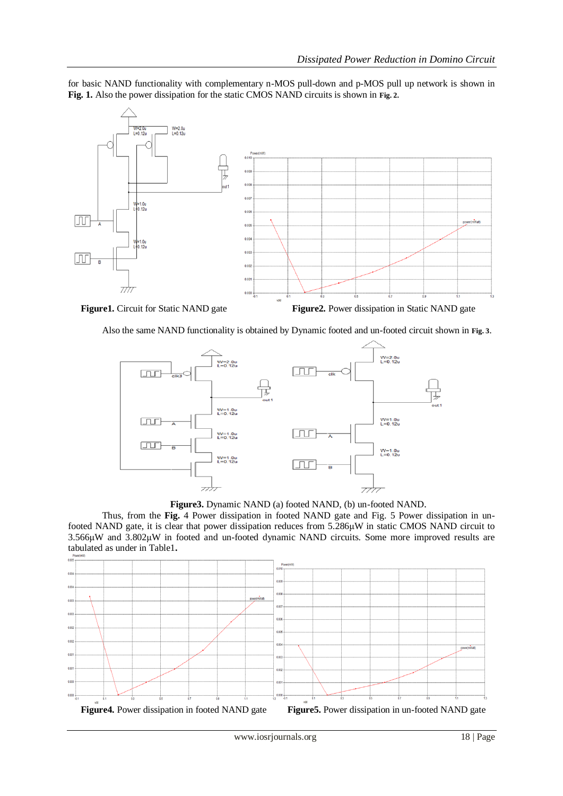for basic NAND functionality with complementary n-MOS pull-down and p-MOS pull up network is shown in **Fig. 1.** Also the power dissipation for the static CMOS NAND circuits is shown in **Fig. 2.**



**Figure1.** Circuit for Static NAND gate **Figure2.** Power dissipation in Static NAND gate

Also the same NAND functionality is obtained by Dynamic footed and un-footed circuit shown in **Fig. 3**.



**Figure3.** Dynamic NAND (a) footed NAND, (b) un-footed NAND.

Thus, from the **Fig.** 4 Power dissipation in footed NAND gate and Fig. 5 Power dissipation in unfooted NAND gate, it is clear that power dissipation reduces from 5.286μW in static CMOS NAND circuit to 3.566μW and 3.802μW in footed and un-footed dynamic NAND circuits. Some more improved results are tabulated as under in Table1**.**

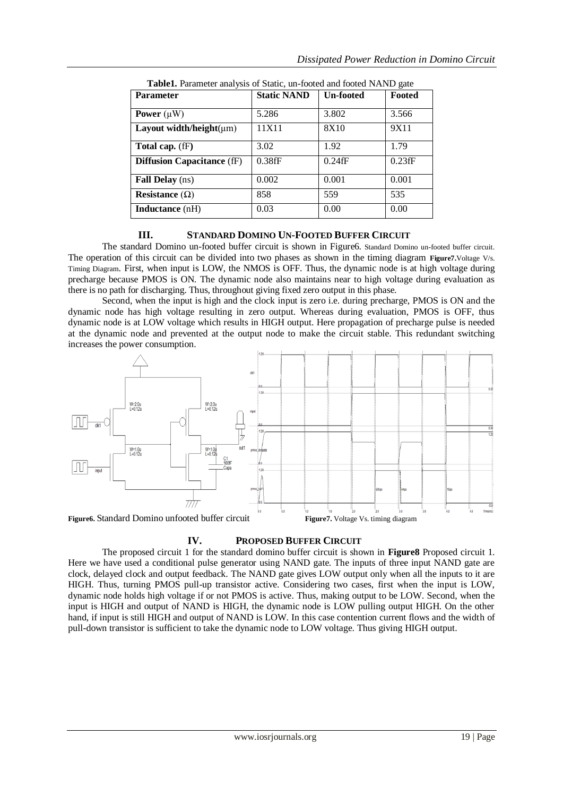| <b>Parameter</b>                  | <b>Static NAND</b> | <b>Un-footed</b> | Footed    |
|-----------------------------------|--------------------|------------------|-----------|
| Power $(\mu W)$                   | 5.286              | 3.802            | 3.566     |
| Layout width/height( $\mu$ m)     | 11X11              | 8X10             | 9X11      |
| Total cap. (fF)                   | 3.02               | 1.92             | 1.79      |
| <b>Diffusion Capacitance (fF)</b> | $0.38$ fF          | $0.24$ fF        | $0.23$ fF |
| <b>Fall Delay</b> (ns)            | 0.002              | 0.001            | 0.001     |
| Resistance $(\Omega)$             | 858                | 559              | 535       |
| <b>Inductance</b> (nH)            | 0.03               | 0.00             | 0.00      |

 **Table1.** Parameter analysis of Static, un-footed and footed NAND gate

## **III. STANDARD DOMINO UN-FOOTED BUFFER CIRCUIT**

The standard Domino un-footed buffer circuit is shown in Figure6. Standard Domino un-footed buffer circuit. The operation of this circuit can be divided into two phases as shown in the timing diagram **Figure7.**Voltage V/s. Timing Diagram. First, when input is LOW, the NMOS is OFF. Thus, the dynamic node is at high voltage during precharge because PMOS is ON. The dynamic node also maintains near to high voltage during evaluation as there is no path for discharging. Thus, throughout giving fixed zero output in this phase.

Second, when the input is high and the clock input is zero i.e. during precharge, PMOS is ON and the dynamic node has high voltage resulting in zero output. Whereas during evaluation, PMOS is OFF, thus dynamic node is at LOW voltage which results in HIGH output. Here propagation of precharge pulse is needed at the dynamic node and prevented at the output node to make the circuit stable. This redundant switching increases the power consumption.



### **IV. PROPOSED BUFFER CIRCUIT**

The proposed circuit 1 for the standard domino buffer circuit is shown in **Figure8** Proposed circuit 1. Here we have used a conditional pulse generator using NAND gate. The inputs of three input NAND gate are clock, delayed clock and output feedback. The NAND gate gives LOW output only when all the inputs to it are HIGH. Thus, turning PMOS pull-up transistor active. Considering two cases, first when the input is LOW, dynamic node holds high voltage if or not PMOS is active. Thus, making output to be LOW. Second, when the input is HIGH and output of NAND is HIGH, the dynamic node is LOW pulling output HIGH. On the other hand, if input is still HIGH and output of NAND is LOW. In this case contention current flows and the width of pull-down transistor is sufficient to take the dynamic node to LOW voltage. Thus giving HIGH output.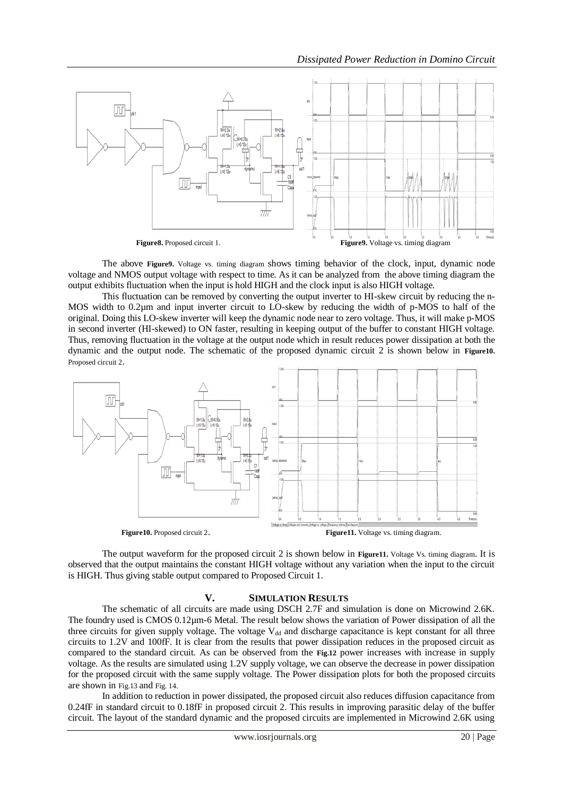

The above **Figure9.** Voltage vs. timing diagram shows timing behavior of the clock, input, dynamic node voltage and NMOS output voltage with respect to time. As it can be analyzed from the above timing diagram the output exhibits fluctuation when the input is hold HIGH and the clock input is also HIGH voltage.

This fluctuation can be removed by converting the output inverter to HI-skew circuit by reducing the n-MOS width to 0.2µm and input inverter circuit to LO-skew by reducing the width of p-MOS to half of the original. Doing this LO-skew inverter will keep the dynamic node near to zero voltage. Thus, it will make p-MOS in second inverter (HI-skewed) to ON faster, resulting in keeping output of the buffer to constant HIGH voltage. Thus, removing fluctuation in the voltage at the output node which in result reduces power dissipation at both the dynamic and the output node. The schematic of the proposed dynamic circuit 2 is shown below in **Figure10.** Proposed circuit 2.



The output waveform for the proposed circuit 2 is shown below in **Figure11.** Voltage Vs. timing diagram. It is observed that the output maintains the constant HIGH voltage without any variation when the input to the circuit is HIGH. Thus giving stable output compared to Proposed Circuit 1.

#### **V. SIMULATION RESULTS**

The schematic of all circuits are made using DSCH 2.7F and simulation is done on Microwind 2.6K. The foundry used is CMOS 0.12µm-6 Metal. The result below shows the variation of Power dissipation of all the three circuits for given supply voltage. The voltage  $V_{dd}$  and discharge capacitance is kept constant for all three circuits to 1.2V and 100fF. It is clear from the results that power dissipation reduces in the proposed circuit as compared to the standard circuit. As can be observed from the **Fig.12** power increases with increase in supply voltage. As the results are simulated using 1.2V supply voltage, we can observe the decrease in power dissipation for the proposed circuit with the same supply voltage. The Power dissipation plots for both the proposed circuits are shown in Fig.13 and Fig. 14.

In addition to reduction in power dissipated, the proposed circuit also reduces diffusion capacitance from 0.24fF in standard circuit to 0.18fF in proposed circuit 2. This results in improving parasitic delay of the buffer circuit. The layout of the standard dynamic and the proposed circuits are implemented in Microwind 2.6K using